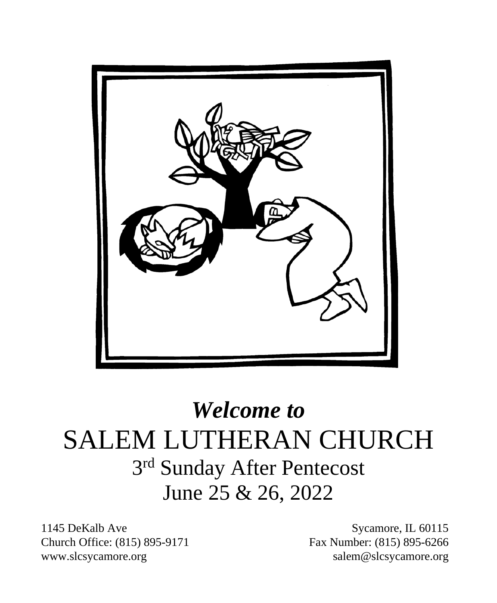

# *Welcome to* SALEM LUTHERAN CHURCH 3<sup>rd</sup> Sunday After Pentecost June 25 & 26, 2022

1145 DeKalb Ave Sycamore, IL 60115 Church Office: (815) 895-9171 Fax Number: (815) 895-6266 www.slcsycamore.org salem@slcsycamore.org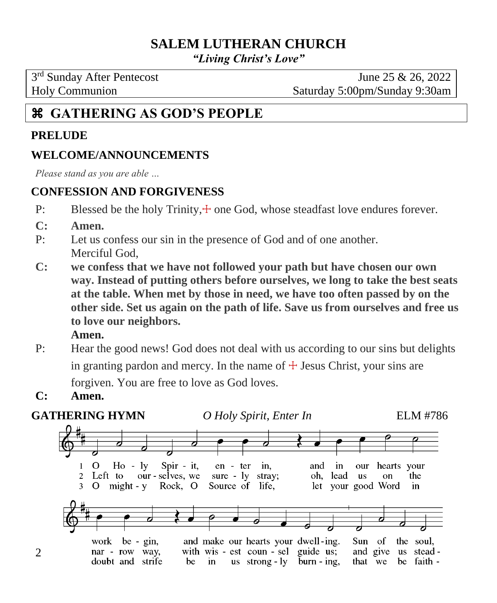# **SALEM LUTHERAN CHURCH**

*"Living Christ's Love"*

3 rd Sunday After Pentecost June 25 & 26, 2022 Holy Communion Saturday 5:00pm/Sunday 9:30am

# **GATHERING AS GOD'S PEOPLE**

#### **PRELUDE**

#### **WELCOME/ANNOUNCEMENTS**

*Please stand as you are able …*

#### **CONFESSION AND FORGIVENESS**

- P: Blessed be the holy  $Trinity.$   $\pm$  one God, whose steadfast love endures forever.
- **C: Amen.**
- P: Let us confess our sin in the presence of God and of one another. Merciful God,
- **C: we confess that we have not followed your path but have chosen our own way. Instead of putting others before ourselves, we long to take the best seats at the table. When met by those in need, we have too often passed by on the other side. Set us again on the path of life. Save us from ourselves and free us to love our neighbors.**
- **Amen.** P: Hear the good news! God does not deal with us according to our sins but delights in granting pardon and mercy. In the name of  $\pm$  Jesus Christ, your sins are forgiven. You are free to love as God loves.
	- **C: Amen.**

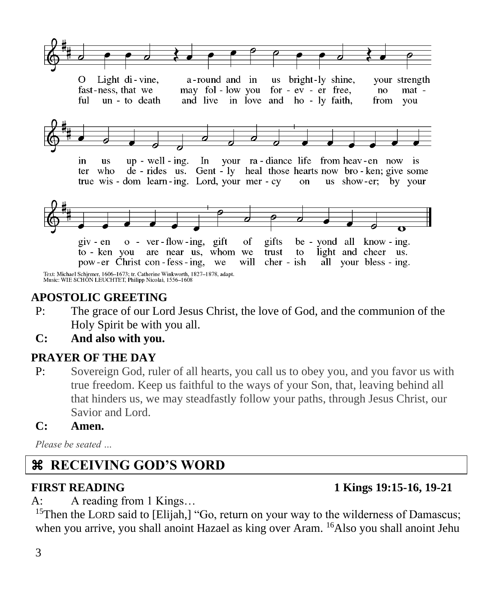

# **APOSTOLIC GREETING**

- P: The grace of our Lord Jesus Christ, the love of God, and the communion of the Holy Spirit be with you all.
- **C: And also with you.**

### **PRAYER OF THE DAY**

- P: Sovereign God, ruler of all hearts, you call us to obey you, and you favor us with true freedom. Keep us faithful to the ways of your Son, that, leaving behind all that hinders us, we may steadfastly follow your paths, through Jesus Christ, our Savior and Lord.
- **C: Amen.**

*Please be seated …*

# **RECEIVING GOD'S WORD**

#### **FIRST READING 1 Kings 19:15-16, 19-21**

A: A reading from 1 Kings…

<sup>15</sup>Then the LORD said to [Elijah,] "Go, return on your way to the wilderness of Damascus; when you arrive, you shall anoint Hazael as king over Aram. <sup>16</sup>Also you shall anoint Jehu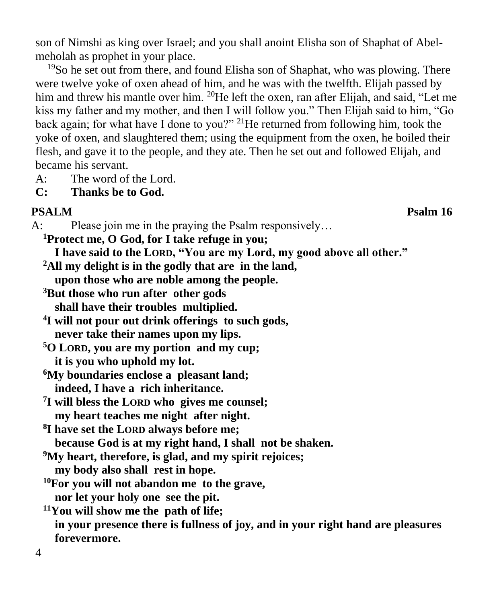son of Nimshi as king over Israel; and you shall anoint Elisha son of Shaphat of Abelmeholah as prophet in your place.

 $19$ So he set out from there, and found Elisha son of Shaphat, who was plowing. There were twelve yoke of oxen ahead of him, and he was with the twelfth. Elijah passed by him and threw his mantle over him. <sup>20</sup>He left the oxen, ran after Elijah, and said, "Let me kiss my father and my mother, and then I will follow you." Then Elijah said to him, "Go back again; for what have I done to you?" <sup>21</sup>He returned from following him, took the yoke of oxen, and slaughtered them; using the equipment from the oxen, he boiled their flesh, and gave it to the people, and they ate. Then he set out and followed Elijah, and became his servant.

- A: The word of the Lord.
- **C: Thanks be to God.**

A: Please join me in the praying the Psalm responsively...

**<sup>1</sup>Protect me, O God, for I take refuge in you;**

 **I have said to the LORD, "You are my Lord, my good above all other."**

**<sup>2</sup>All my delight is in the godly that are in the land,**

 **upon those who are noble among the people.**

- **<sup>3</sup>But those who run after other gods shall have their troubles multiplied.**
- **4 I will not pour out drink offerings to such gods, never take their names upon my lips.**
- **<sup>5</sup>O LORD, you are my portion and my cup; it is you who uphold my lot.**
- **<sup>6</sup>My boundaries enclose a pleasant land; indeed, I have a rich inheritance.**
- **7 I will bless the LORD who gives me counsel; my heart teaches me night after night.**
- **8 I have set the LORD always before me;**

 **because God is at my right hand, I shall not be shaken.**

- **<sup>9</sup>My heart, therefore, is glad, and my spirit rejoices;**
- **my body also shall rest in hope.**
- **<sup>10</sup>For you will not abandon me to the grave, nor let your holy one see the pit.**
- **<sup>11</sup>You will show me the path of life; in your presence there is fullness of joy, and in your right hand are pleasures forevermore.**
- 4

**PSALM** Psalm 16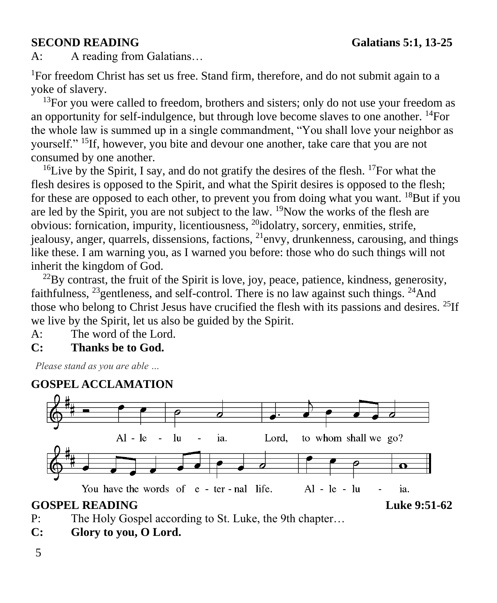#### **SECOND READING Galatians 5:1, 13-25**

A: A reading from Galatians…

<sup>1</sup>For freedom Christ has set us free. Stand firm, therefore, and do not submit again to a yoke of slavery.

 $13$ For you were called to freedom, brothers and sisters; only do not use your freedom as an opportunity for self-indulgence, but through love become slaves to one another. <sup>14</sup>For the whole law is summed up in a single commandment, "You shall love your neighbor as yourself." <sup>15</sup>If, however, you bite and devour one another, take care that you are not consumed by one another.

<sup>16</sup>Live by the Spirit, I say, and do not gratify the desires of the flesh. <sup>17</sup>For what the flesh desires is opposed to the Spirit, and what the Spirit desires is opposed to the flesh; for these are opposed to each other, to prevent you from doing what you want.  $^{18}$ But if you are led by the Spirit, you are not subject to the law. <sup>19</sup>Now the works of the flesh are obvious: fornication, impurity, licentiousness, <sup>20</sup>idolatry, sorcery, enmities, strife, jealousy, anger, quarrels, dissensions, factions, <sup>21</sup>envy, drunkenness, carousing, and things like these. I am warning you, as I warned you before: those who do such things will not inherit the kingdom of God.

 $^{22}$ By contrast, the fruit of the Spirit is love, joy, peace, patience, kindness, generosity, faithfulness,  $^{23}$ gentleness, and self-control. There is no law against such things.  $^{24}$ And those who belong to Christ Jesus have crucified the flesh with its passions and desires. <sup>25</sup>If we live by the Spirit, let us also be guided by the Spirit.

A: The word of the Lord.

#### **C: Thanks be to God.**

*Please stand as you are able …*

#### **GOSPEL ACCLAMATION**



- P: The Holy Gospel according to St. Luke, the 9th chapter…
- **C: Glory to you, O Lord.**
- 5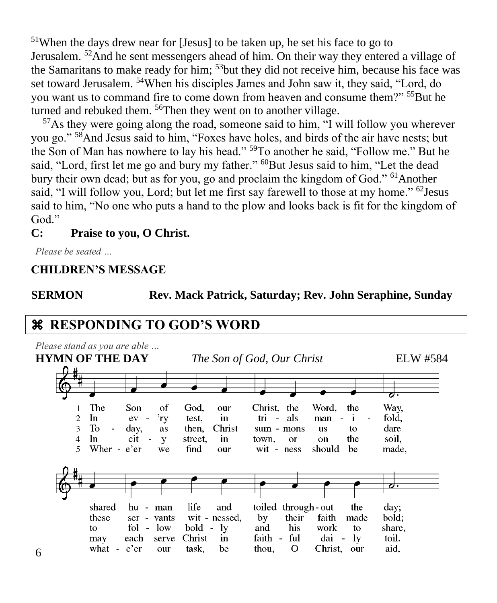$51$ When the days drew near for [Jesus] to be taken up, he set his face to go to Jerusalem. <sup>52</sup>And he sent messengers ahead of him. On their way they entered a village of the Samaritans to make ready for him;  $53$  but they did not receive him, because his face was set toward Jerusalem. <sup>54</sup>When his disciples James and John saw it, they said, "Lord, do you want us to command fire to come down from heaven and consume them?" <sup>55</sup>But he turned and rebuked them. <sup>56</sup>Then they went on to another village.

<sup>57</sup>As they were going along the road, someone said to him, "I will follow you wherever you go." <sup>58</sup>And Jesus said to him, "Foxes have holes, and birds of the air have nests; but the Son of Man has nowhere to lay his head." <sup>59</sup>To another he said, "Follow me." But he said, "Lord, first let me go and bury my father." <sup>60</sup>But Jesus said to him, "Let the dead bury their own dead; but as for you, go and proclaim the kingdom of God." <sup>61</sup>Another said, "I will follow you, Lord; but let me first say farewell to those at my home." <sup>62</sup> Jesus said to him, "No one who puts a hand to the plow and looks back is fit for the kingdom of God."

#### **C: Praise to you, O Christ.**

*Please be seated …*

#### **CHILDREN'S MESSAGE**

**SERMON Rev. Mack Patrick, Saturday; Rev. John Seraphine, Sunday** 

## $\textcircled{R}$  **RESPONDING TO GOD'S WORD**



6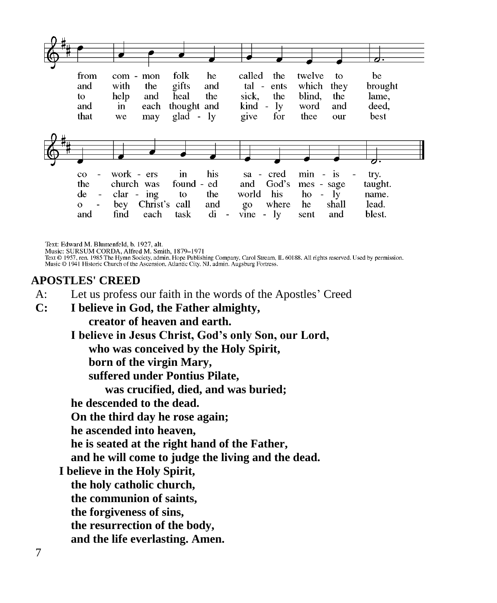

Text: Edward M. Blumenfeld, b. 1927, alt.

Music: SURSUM CORDA, Alfred M. Smith, 1879-1971

Text © 1957, ren. 1985 The Hymn Society, admin. Hope Publishing Company, Carol Stream, IL 60188. All rights reserved. Used by permission.<br>Music © 1941 Historic Church of the Ascension, Atlantic City, NJ, admin. Augsburg Fo

#### **APOSTLES' CREED**

- A: Let us profess our faith in the words of the Apostles' Creed
- **C: I believe in God, the Father almighty,**

**creator of heaven and earth.**

**I believe in Jesus Christ, God's only Son, our Lord,**

**who was conceived by the Holy Spirit,**

**born of the virgin Mary,**

**suffered under Pontius Pilate,**

**was crucified, died, and was buried;**

**he descended to the dead.**

**On the third day he rose again;**

**he ascended into heaven,**

**he is seated at the right hand of the Father,**

**and he will come to judge the living and the dead.**

**I believe in the Holy Spirit,**

**the holy catholic church,**

**the communion of saints,**

**the forgiveness of sins,**

**the resurrection of the body,**

**and the life everlasting. Amen.**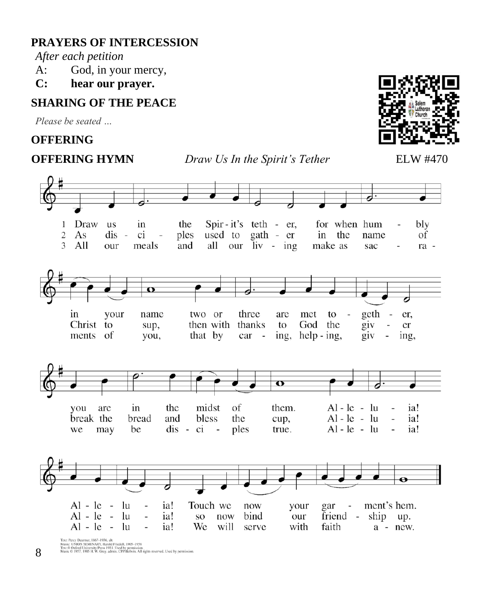#### **PRAYERS OF INTERCESSION**

*After each petition*

- A: God, in your mercy,
- **C: hear our prayer.**

#### **SHARING OF THE PEACE**

*Please be seated …*

#### **OFFERING**

### **OFFERING HYMN** *Draw Us In the Spirit's Tether* ELW #470



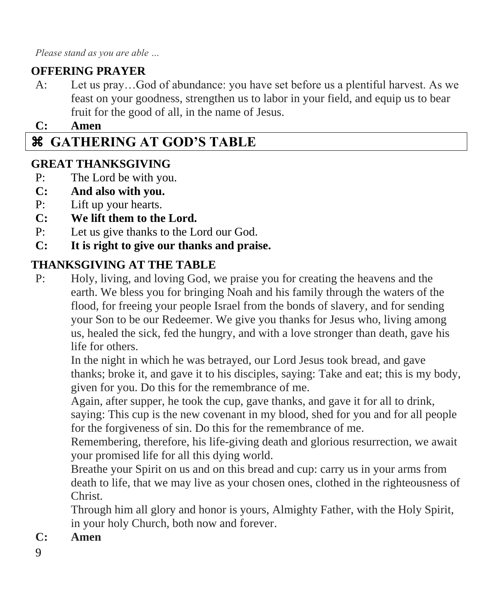# **OFFERING PRAYER**

A: Let us pray…God of abundance: you have set before us a plentiful harvest. As we feast on your goodness, strengthen us to labor in your field, and equip us to bear fruit for the good of all, in the name of Jesus.

### **C: Amen**

# **GATHERING AT GOD'S TABLE**

### **GREAT THANKSGIVING**

- P: The Lord be with you.
- **C: And also with you.**
- P: Lift up your hearts.
- **C: We lift them to the Lord.**
- P: Let us give thanks to the Lord our God.
- **C: It is right to give our thanks and praise.**

### **THANKSGIVING AT THE TABLE**

P: Holy, living, and loving God, we praise you for creating the heavens and the earth. We bless you for bringing Noah and his family through the waters of the flood, for freeing your people Israel from the bonds of slavery, and for sending your Son to be our Redeemer. We give you thanks for Jesus who, living among us, healed the sick, fed the hungry, and with a love stronger than death, gave his life for others.

In the night in which he was betrayed, our Lord Jesus took bread, and gave thanks; broke it, and gave it to his disciples, saying: Take and eat; this is my body, given for you. Do this for the remembrance of me.

Again, after supper, he took the cup, gave thanks, and gave it for all to drink, saying: This cup is the new covenant in my blood, shed for you and for all people for the forgiveness of sin. Do this for the remembrance of me.

Remembering, therefore, his life-giving death and glorious resurrection, we await your promised life for all this dying world.

Breathe your Spirit on us and on this bread and cup: carry us in your arms from death to life, that we may live as your chosen ones, clothed in the righteousness of Christ.

Through him all glory and honor is yours, Almighty Father, with the Holy Spirit, in your holy Church, both now and forever.

**C: Amen**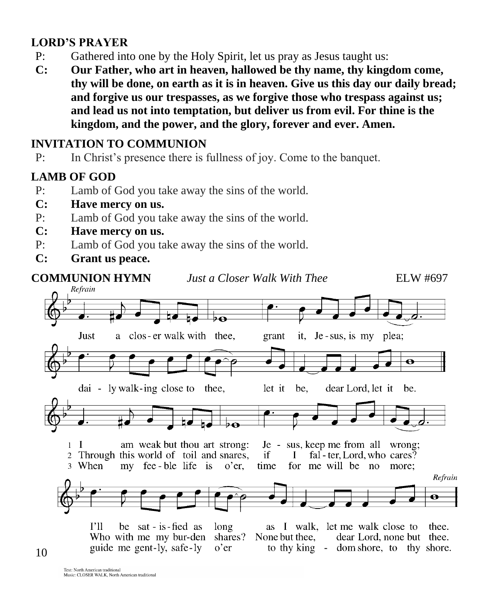#### **LORD'S PRAYER**

- P: Gathered into one by the Holy Spirit, let us pray as Jesus taught us:
- **C: Our Father, who art in heaven, hallowed be thy name, thy kingdom come, thy will be done, on earth as it is in heaven. Give us this day our daily bread; and forgive us our trespasses, as we forgive those who trespass against us; and lead us not into temptation, but deliver us from evil. For thine is the kingdom, and the power, and the glory, forever and ever. Amen.**

#### **INVITATION TO COMMUNION**

P: In Christ's presence there is fullness of joy. Come to the banquet.

#### **LAMB OF GOD**

- P: Lamb of God you take away the sins of the world.
- **C: Have mercy on us.**
- P: Lamb of God you take away the sins of the world.
- **C: Have mercy on us.**
- P: Lamb of God you take away the sins of the world.
- **C: Grant us peace.**

#### **COMMUNION HYMN** *Just a Closer Walk With Thee* ELW #697 Just clos-er walk with thee. it, Je-sus, is my plea; a grant А  $dai - ly walk-ing close to$ thee, let it be. dear Lord, let it he. am weak but thou art strong:  $1\;$  I Je - sus, keep me from all wrong; 2 Through this world of toil and snares, if L fal - ter. Lord, who cares? 3 When my fee-ble life is  $o'$ er time for me will be no more: Refrain as I walk, let me walk close to be sat - is-fied as  $1'11$ long thee. Who with me my bur-den dear Lord, none but thee. shares? None but thee. guide me gent-ly, safe-ly  $o'$ er to thy king - dom shore, to thy shore.

Text: North American traditional Music: CLOSER WALK, North American traditional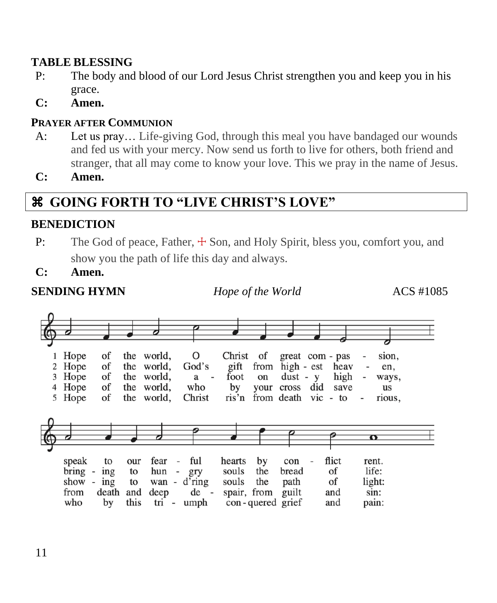#### **TABLE BLESSING**

- P: The body and blood of our Lord Jesus Christ strengthen you and keep you in his grace.
- **C: Amen.**

#### **PRAYER AFTER COMMUNION**

- A: Let us pray… Life-giving God, through this meal you have bandaged our wounds and fed us with your mercy. Now send us forth to live for others, both friend and stranger, that all may come to know your love. This we pray in the name of Jesus.
- **C: Amen.**

# **GOING FORTH TO "LIVE CHRIST'S LOVE"**

#### **BENEDICTION**

- P: The God of peace, Father,  $\pm$  Son, and Holy Spirit, bless you, comfort you, and show you the path of life this day and always.
- **C: Amen.**

#### **SENDING HYMN** *Hope of the World* ACS #1085